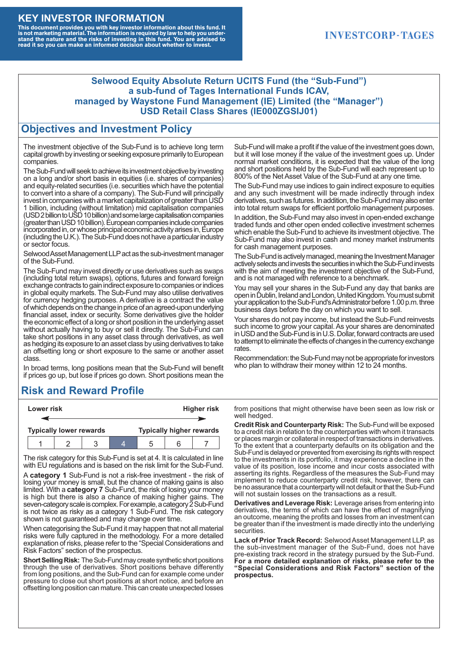#### **KEY INVESTOR INFORMATION**

This document provides you with key investor information about this fund. It<br>is not marketing material. The information is required by law to help you under-<br>stand the nature and the risks of investing in this fund. You ar

### **INVESTCORP-TAGES**

#### **Selwood Equity Absolute Return UCITS Fund (the "Sub-Fund") a sub-fund of Tages International Funds ICAV, managed by Waystone Fund Management (IE) Limited (the "Manager") USD Retail Class Shares (IE000ZGSIJ01)**

#### **Objectives and Investment Policy**

The investment objective of the Sub-Fund is to achieve long term capital growth by investing or seeking exposure primarily to European companies.

The Sub-Fund will seek to achieve its investment objective by investing on a long and/or short basis in equities (i.e. shares of companies) and equity-related securities (i.e. securities which have the potential to convert into a share of a company). The Sub-Fund will principally invest in companies with a market capitalization of greater than USD 1 billion, including (without limitation) mid capitalisation companies (USD 2 billion to USD 10 billion) and some large capitalisation companies (greaterthanUSD10billion).European companiesinclude companies incorporated in, or whose principal economic activity arises in, Europe (including the U.K.). The Sub-Fund does not have a particular industry or sector focus.

Selwood Asset Management LLP act as the sub-investment manager of the Sub-Fund.

The Sub-Fund may invest directly or use derivatives such as swaps (including total return swaps), options, futures and forward foreign exchange contracts to gain indirect exposure to companies or indices in global equity markets. The Sub-Fund may also utilise derivatives for currency hedging purposes. A derivative is a contract the value of which depends on the change in price of an agreed-upon underlying financial asset, index or security. Some derivatives give the holder the economic effect of a long or short position in the underlying asset without actually having to buy or sell it directly. The Sub-Fund can take short positions in any asset class through derivatives, as well as hedging its exposure to an asset class by using derivatives to take an offsetting long or short exposure to the same or another asset class.

In broad terms, long positions mean that the Sub-Fund will benefit if prices go up, but lose if prices go down. Short positions mean the

## **Risk and Reward Profile**

|                                | Lower risk |  |  | <b>Higher risk</b>              |  |  |
|--------------------------------|------------|--|--|---------------------------------|--|--|
|                                |            |  |  |                                 |  |  |
| <b>Typically lower rewards</b> |            |  |  | <b>Typically higher rewards</b> |  |  |
|                                |            |  |  | :5                              |  |  |

The risk category for this Sub-Fund is set at 4. It is calculated in line with EU regulations and is based on the risk limit for the Sub-Fund.

A **category 1** Sub-Fund is not a risk-free investment - the risk of losing your money is small, but the chance of making gains is also limited. With a **category 7** Sub-Fund, the risk of losing your money is high but there is also a chance of making higher gains. The seven-category scale is complex. For example, a category 2 Sub-Fund is not twice as risky as a category 1 Sub-Fund. The risk category shown is not guaranteed and may change over time.

When categorising the Sub-Fund it may happen that not all material risks were fully captured in the methodology. For a more detailed explanation of risks, please refer to the "Special Considerations and Risk Factors" section of the prospectus.

**Short Selling Risk:** The Sub-Fund may create synthetic short positions through the use of derivatives. Short positions behave differently from long positions, and the Sub-Fund can for example come under pressure to close out short positions at short notice, and before an offsetting long position can mature. This can create unexpected losses

Sub-Fund will make a profit if the value of the investment goes down, but it will lose money if the value of the investment goes up. Under normal market conditions, it is expected that the value of the long and short positions held by the Sub-Fund will each represent up to 800% of the Net Asset Value of the Sub-Fund at any one time.

The Sub-Fund may use indices to gain indirect exposure to equities and any such investment will be made indirectly through index derivatives, such as futures. In addition, the Sub-Fund may also enter into total return swaps for efficient portfolio management purposes.

In addition, the Sub-Fund may also invest in open-ended exchange traded funds and other open ended collective investment schemes which enable the Sub-Fund to achieve its investment objective. The Sub-Fund may also invest in cash and money market instruments for cash management purposes.

The Sub-Fund is actively managed, meaning the Investment Manager actively selects and invests the securities in which the Sub-Fund invests with the aim of meeting the investment objective of the Sub-Fund, and is not managed with reference to a benchmark.

You may sell your shares in the Sub-Fund any day that banks are open in Dublin, Ireland and London, United Kingdom. You must submit your application to the Sub-Fund's Administrator before 1.00 p.m. three business days before the day on which you want to sell.

Your shares do not pay income, but instead the Sub-Fund reinvests such income to grow your capital. As your shares are denominated in USD and the Sub-Fund is in U.S. Dollar, forward contracts are used to attempt to eliminate the effects of changes in the currency exchange rates.

Recommendation: the Sub-Fund may not be appropriate for investors who plan to withdraw their money within 12 to 24 months.

from positions that might otherwise have been seen as low risk or well hedged.

**Credit Risk and Counterparty Risk:** The Sub-Fund will be exposed to a credit risk in relation to the counterparties with whom it transacts or places margin or collateral in respect of transactions in derivatives. To the extent that a counterparty defaults on its obligation and the Sub-Fund is delayed or prevented from exercising its rights with respect to the investments in its portfolio, it may experience a decline in the value of its position, lose income and incur costs associated with asserting its rights. Regardless of the measures the Sub-Fund may implement to reduce counterparty credit risk, however, there can be no assurance that a counterparty will not default or that the Sub-Fund will not sustain losses on the transactions as a result.

**Derivatives and Leverage Risk:** Leverage arises from entering into derivatives, the terms of which can have the effect of magnifying an outcome, meaning the profits and losses from an investment can be greater than if the investment is made directly into the underlying **securities**.

**Lack of Prior Track Record:** Selwood Asset Management LLP, as the sub-investment manager of the Sub-Fund, does not have pre-existing track record in the strategy pursued by the Sub-Fund. **For a more detailed explanation of risks, please refer to the "Special Considerations and Risk Factors" section of the prospectus.**